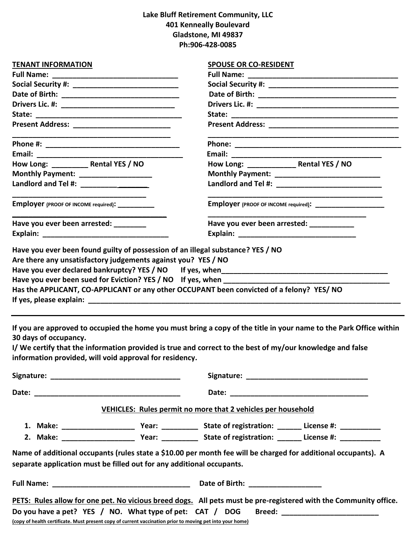# **Lake Bluff Retirement Community, LLC 401 Kenneally Boulevard Gladstone, MI 49837 Ph:906-428-0085**

| <b>TENANT INFORMATION</b>                                                                                                                                                     | <b>SPOUSE OR CO-RESIDENT</b>                                                                                                                                                                                                   |  |  |  |  |
|-------------------------------------------------------------------------------------------------------------------------------------------------------------------------------|--------------------------------------------------------------------------------------------------------------------------------------------------------------------------------------------------------------------------------|--|--|--|--|
|                                                                                                                                                                               |                                                                                                                                                                                                                                |  |  |  |  |
|                                                                                                                                                                               |                                                                                                                                                                                                                                |  |  |  |  |
|                                                                                                                                                                               |                                                                                                                                                                                                                                |  |  |  |  |
| Drivers Lic. #: _________________________________                                                                                                                             |                                                                                                                                                                                                                                |  |  |  |  |
|                                                                                                                                                                               |                                                                                                                                                                                                                                |  |  |  |  |
|                                                                                                                                                                               |                                                                                                                                                                                                                                |  |  |  |  |
|                                                                                                                                                                               |                                                                                                                                                                                                                                |  |  |  |  |
|                                                                                                                                                                               |                                                                                                                                                                                                                                |  |  |  |  |
|                                                                                                                                                                               |                                                                                                                                                                                                                                |  |  |  |  |
| Monthly Payment: ___________________                                                                                                                                          |                                                                                                                                                                                                                                |  |  |  |  |
| Landlord and Tel #: ____________________                                                                                                                                      |                                                                                                                                                                                                                                |  |  |  |  |
| <b>Employer</b> (PROOF OF INCOME required): ___________                                                                                                                       | <b>Employer</b> (PROOF OF INCOME required): ________________________                                                                                                                                                           |  |  |  |  |
| Have you ever been arrested: ________                                                                                                                                         | Have you ever been arrested: ___________                                                                                                                                                                                       |  |  |  |  |
|                                                                                                                                                                               |                                                                                                                                                                                                                                |  |  |  |  |
| Have you ever been sued for Eviction? YES / NO If yes, when ____________________<br>Has the APPLICANT, CO-APPLICANT or any other OCCUPANT been convicted of a felony? YES/ NO |                                                                                                                                                                                                                                |  |  |  |  |
| 30 days of occupancy.<br>information provided, will void approval for residency.                                                                                              | If you are approved to occupied the home you must bring a copy of the title in your name to the Park Office within<br>I/We certify that the information provided is true and correct to the best of my/our knowledge and false |  |  |  |  |
|                                                                                                                                                                               |                                                                                                                                                                                                                                |  |  |  |  |
|                                                                                                                                                                               |                                                                                                                                                                                                                                |  |  |  |  |
|                                                                                                                                                                               | VEHICLES: Rules permit no more that 2 vehicles per household                                                                                                                                                                   |  |  |  |  |
|                                                                                                                                                                               |                                                                                                                                                                                                                                |  |  |  |  |
|                                                                                                                                                                               |                                                                                                                                                                                                                                |  |  |  |  |
|                                                                                                                                                                               |                                                                                                                                                                                                                                |  |  |  |  |
| separate application must be filled out for any additional occupants.                                                                                                         | Name of additional occupants (rules state a \$10.00 per month fee will be charged for additional occupants). A                                                                                                                 |  |  |  |  |
|                                                                                                                                                                               |                                                                                                                                                                                                                                |  |  |  |  |
|                                                                                                                                                                               | PETS: Rules allow for one pet. No vicious breed dogs. All pets must be pre-registered with the Community office.                                                                                                               |  |  |  |  |
| Do you have a pet? YES / NO. What type of pet: CAT / DOG                                                                                                                      | Breed: ___________________________                                                                                                                                                                                             |  |  |  |  |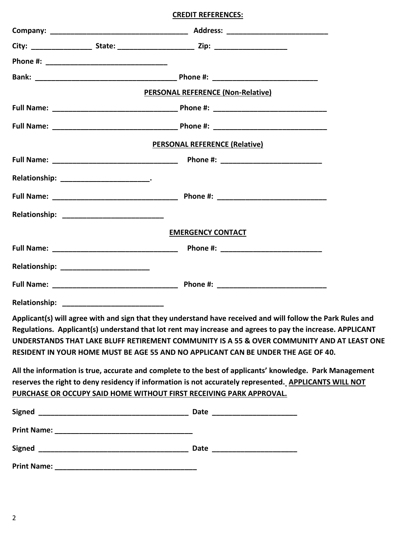# **CREDIT REFERENCES:**

|                                                                                                                                                                                                                                                                                                                                                                                                             | <b>PERSONAL REFERENCE (Non-Relative)</b> |  |  |  |  |  |
|-------------------------------------------------------------------------------------------------------------------------------------------------------------------------------------------------------------------------------------------------------------------------------------------------------------------------------------------------------------------------------------------------------------|------------------------------------------|--|--|--|--|--|
|                                                                                                                                                                                                                                                                                                                                                                                                             |                                          |  |  |  |  |  |
|                                                                                                                                                                                                                                                                                                                                                                                                             |                                          |  |  |  |  |  |
| PERSONAL REFERENCE (Relative)                                                                                                                                                                                                                                                                                                                                                                               |                                          |  |  |  |  |  |
|                                                                                                                                                                                                                                                                                                                                                                                                             |                                          |  |  |  |  |  |
|                                                                                                                                                                                                                                                                                                                                                                                                             |                                          |  |  |  |  |  |
|                                                                                                                                                                                                                                                                                                                                                                                                             |                                          |  |  |  |  |  |
|                                                                                                                                                                                                                                                                                                                                                                                                             |                                          |  |  |  |  |  |
|                                                                                                                                                                                                                                                                                                                                                                                                             | <b>EMERGENCY CONTACT</b>                 |  |  |  |  |  |
|                                                                                                                                                                                                                                                                                                                                                                                                             |                                          |  |  |  |  |  |
|                                                                                                                                                                                                                                                                                                                                                                                                             |                                          |  |  |  |  |  |
|                                                                                                                                                                                                                                                                                                                                                                                                             |                                          |  |  |  |  |  |
|                                                                                                                                                                                                                                                                                                                                                                                                             |                                          |  |  |  |  |  |
| Applicant(s) will agree with and sign that they understand have received and will follow the Park Rules and<br>Regulations. Applicant(s) understand that lot rent may increase and agrees to pay the increase. APPLICANT<br>UNDERSTANDS THAT LAKE BLUFF RETIREMENT COMMUNITY IS A 55 & OVER COMMUNITY AND AT LEAST ONE<br>RESIDENT IN YOUR HOME MUST BE AGE 55 AND NO APPLICANT CAN BE UNDER THE AGE OF 40. |                                          |  |  |  |  |  |
| All the information is true, accurate and complete to the best of applicants' knowledge. Park Management<br>reserves the right to deny residency if information is not accurately represented. APPLICANTS WILL NOT<br>PURCHASE OR OCCUPY SAID HOME WITHOUT FIRST RECEIVING PARK APPROVAL.                                                                                                                   |                                          |  |  |  |  |  |
|                                                                                                                                                                                                                                                                                                                                                                                                             |                                          |  |  |  |  |  |
|                                                                                                                                                                                                                                                                                                                                                                                                             |                                          |  |  |  |  |  |
|                                                                                                                                                                                                                                                                                                                                                                                                             |                                          |  |  |  |  |  |
|                                                                                                                                                                                                                                                                                                                                                                                                             |                                          |  |  |  |  |  |
|                                                                                                                                                                                                                                                                                                                                                                                                             |                                          |  |  |  |  |  |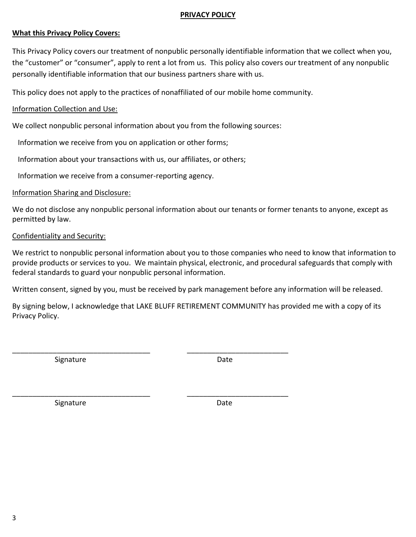# **PRIVACY POLICY**

# **What this Privacy Policy Covers:**

This Privacy Policy covers our treatment of nonpublic personally identifiable information that we collect when you, the "customer" or "consumer", apply to rent a lot from us. This policy also covers our treatment of any nonpublic personally identifiable information that our business partners share with us.

This policy does not apply to the practices of nonaffiliated of our mobile home community.

### Information Collection and Use:

We collect nonpublic personal information about you from the following sources:

\_\_\_\_\_\_\_\_\_\_\_\_\_\_\_\_\_\_\_\_\_\_\_\_\_\_\_\_\_\_\_\_\_\_ \_\_\_\_\_\_\_\_\_\_\_\_\_\_\_\_\_\_\_\_\_\_\_\_\_

\_\_\_\_\_\_\_\_\_\_\_\_\_\_\_\_\_\_\_\_\_\_\_\_\_\_\_\_\_\_\_\_\_\_ \_\_\_\_\_\_\_\_\_\_\_\_\_\_\_\_\_\_\_\_\_\_\_\_\_

Information we receive from you on application or other forms;

Information about your transactions with us, our affiliates, or others;

Information we receive from a consumer-reporting agency.

#### Information Sharing and Disclosure:

We do not disclose any nonpublic personal information about our tenants or former tenants to anyone, except as permitted by law.

### Confidentiality and Security:

We restrict to nonpublic personal information about you to those companies who need to know that information to provide products or services to you. We maintain physical, electronic, and procedural safeguards that comply with federal standards to guard your nonpublic personal information.

Written consent, signed by you, must be received by park management before any information will be released.

By signing below, I acknowledge that LAKE BLUFF RETIREMENT COMMUNITY has provided me with a copy of its Privacy Policy.

Signature Date

Signature Date Date